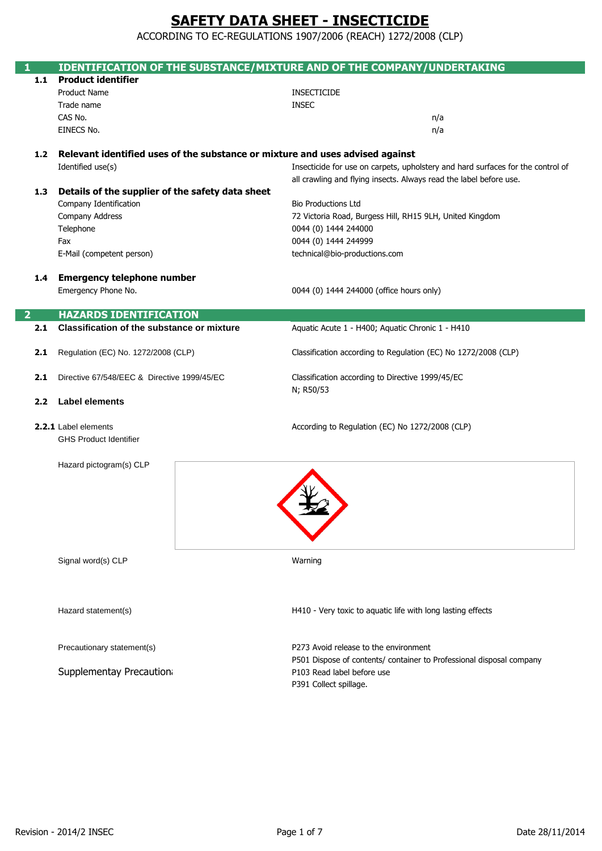ACCORDING TO EC-REGULATIONS 1907/2006 (REACH) 1272/2008 (CLP)

|                  | IDENTIFICATION OF THE SUBSTANCE/MIXTURE AND OF THE COMPANY/UNDERTAKING        |                                                                                 |  |
|------------------|-------------------------------------------------------------------------------|---------------------------------------------------------------------------------|--|
| 1.1              | <b>Product identifier</b>                                                     |                                                                                 |  |
|                  | <b>Product Name</b>                                                           | <b>INSECTICIDE</b>                                                              |  |
|                  | Trade name                                                                    | <b>INSEC</b>                                                                    |  |
|                  | CAS No.                                                                       | n/a                                                                             |  |
|                  | EINECS No.                                                                    | n/a                                                                             |  |
|                  |                                                                               |                                                                                 |  |
| 1.2              | Relevant identified uses of the substance or mixture and uses advised against |                                                                                 |  |
|                  | Identified use(s)                                                             | Insecticide for use on carpets, upholstery and hard surfaces for the control of |  |
|                  |                                                                               | all crawling and flying insects. Always read the label before use.              |  |
| 1.3 <sub>1</sub> | Details of the supplier of the safety data sheet                              |                                                                                 |  |
|                  | Company Identification                                                        | <b>Bio Productions Ltd</b>                                                      |  |
|                  | Company Address                                                               | 72 Victoria Road, Burgess Hill, RH15 9LH, United Kingdom                        |  |
|                  | Telephone                                                                     | 0044 (0) 1444 244000                                                            |  |
|                  | Fax                                                                           | 0044 (0) 1444 244999                                                            |  |
|                  | E-Mail (competent person)                                                     | technical@bio-productions.com                                                   |  |
|                  |                                                                               |                                                                                 |  |
| 1.4              | <b>Emergency telephone number</b>                                             |                                                                                 |  |
|                  | Emergency Phone No.                                                           | 0044 (0) 1444 244000 (office hours only)                                        |  |
|                  |                                                                               |                                                                                 |  |
| $\overline{2}$   | <b>HAZARDS IDENTIFICATION</b>                                                 |                                                                                 |  |
| 2.1              | <b>Classification of the substance or mixture</b>                             | Aquatic Acute 1 - H400; Aquatic Chronic 1 - H410                                |  |
|                  |                                                                               |                                                                                 |  |
| 2.1              | Regulation (EC) No. 1272/2008 (CLP)                                           | Classification according to Regulation (EC) No 1272/2008 (CLP)                  |  |
|                  |                                                                               |                                                                                 |  |
| 2.1              | Directive 67/548/EEC & Directive 1999/45/EC                                   | Classification according to Directive 1999/45/EC                                |  |
|                  |                                                                               | N; R50/53                                                                       |  |
| 2.2              | <b>Label elements</b>                                                         |                                                                                 |  |
|                  | 2.2.1 Label elements                                                          | According to Regulation (EC) No 1272/2008 (CLP)                                 |  |
|                  | <b>GHS Product Identifier</b>                                                 |                                                                                 |  |
|                  |                                                                               |                                                                                 |  |
|                  | Hazard pictogram(s) CLP                                                       |                                                                                 |  |
|                  |                                                                               |                                                                                 |  |
|                  |                                                                               |                                                                                 |  |
|                  |                                                                               |                                                                                 |  |
|                  |                                                                               |                                                                                 |  |
|                  |                                                                               |                                                                                 |  |
|                  |                                                                               |                                                                                 |  |
|                  |                                                                               |                                                                                 |  |
|                  | Signal word(s) CLP                                                            | Warning                                                                         |  |
|                  |                                                                               |                                                                                 |  |
|                  |                                                                               |                                                                                 |  |
|                  |                                                                               |                                                                                 |  |
|                  | Hazard statement(s)                                                           | H410 - Very toxic to aquatic life with long lasting effects                     |  |
|                  |                                                                               |                                                                                 |  |
|                  |                                                                               |                                                                                 |  |
|                  | Precautionary statement(s)                                                    | P273 Avoid release to the environment                                           |  |
|                  |                                                                               | P501 Dispose of contents/ container to Professional disposal company            |  |
|                  | Supplementay Precaution                                                       | P103 Read label before use                                                      |  |
|                  |                                                                               | P391 Collect spillage.                                                          |  |
|                  |                                                                               |                                                                                 |  |

Π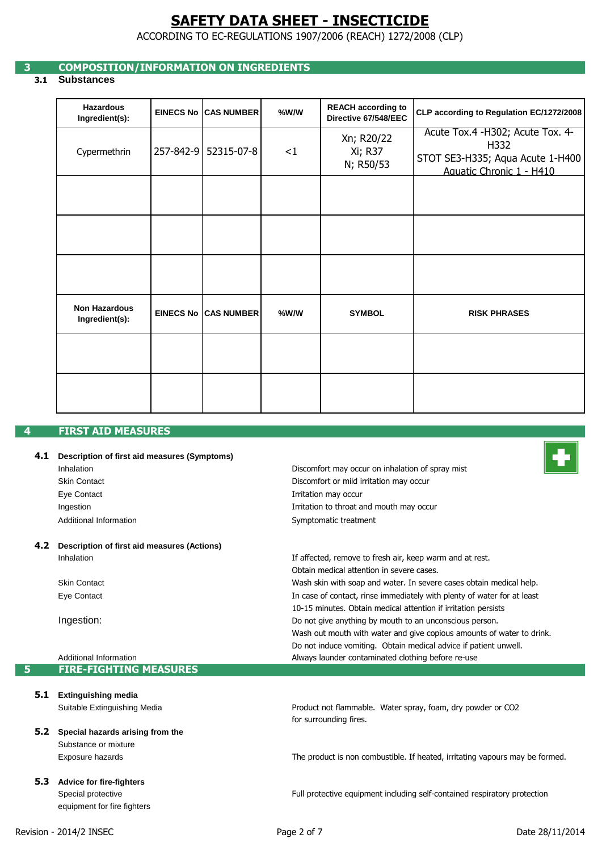ACCORDING TO EC-REGULATIONS 1907/2006 (REACH) 1272/2008 (CLP)

## **3 COMPOSITION/INFORMATION ON INGREDIENTS**

## **3.1 Substances**

| <b>Hazardous</b><br>Ingredient(s):     | <b>EINECS No ICAS NUMBER</b> | $%$ W/W | <b>REACH according to</b><br>Directive 67/548/EEC | CLP according to Regulation EC/1272/2008                                                                 |
|----------------------------------------|------------------------------|---------|---------------------------------------------------|----------------------------------------------------------------------------------------------------------|
| Cypermethrin                           | 257-842-9 52315-07-8         | <1      | Xn; R20/22<br>Xi; R37<br>N; R50/53                | Acute Tox.4 -H302; Acute Tox. 4-<br>H332<br>STOT SE3-H335; Aqua Acute 1-H400<br>Aquatic Chronic 1 - H410 |
|                                        |                              |         |                                                   |                                                                                                          |
|                                        |                              |         |                                                   |                                                                                                          |
|                                        |                              |         |                                                   |                                                                                                          |
| <b>Non Hazardous</b><br>Ingredient(s): | <b>EINECS No ICAS NUMBER</b> | $%$ W/W | <b>SYMBOL</b>                                     | <b>RISK PHRASES</b>                                                                                      |
|                                        |                              |         |                                                   |                                                                                                          |
|                                        |                              |         |                                                   |                                                                                                          |

## **4 FIRST AID MEASURES**

### **4.1 Description of first aid measures (Symptoms)**

| Inhalation             | Discomfort may occur on inhalation of spray mist |
|------------------------|--------------------------------------------------|
| Skin Contact           | Discomfort or mild irritation may occur          |
| Eye Contact            | Irritation may occur                             |
| Ingestion              | Irritation to throat and mouth may occur         |
| Additional Information | Symptomatic treatment                            |
|                        |                                                  |

#### **4.2 Description of first aid measures (Actions)** Inhalation

Skin Contact Eye Contact

Ingestion:

Additional Information **5 FIRE-FIGHTING MEASURES**

**5.1 Extinguishing media**

Suitable Extinguishing Media

- **5.2 Special hazards arising from the**  Substance or mixture Exposure hazards
- **5.3 Advice for fire-fighters** Special protective equipment for fire fighters



for surrounding fires. Product not flammable. Water spray, foam, dry powder or CO2

Do not induce vomiting. Obtain medical advice if patient unwell.

Do not give anything by mouth to an unconscious person.

Always launder contaminated clothing before re-use

10-15 minutes. Obtain medical attention if irritation persists

Wash skin with soap and water. In severe cases obtain medical help.

In case of contact, rinse immediately with plenty of water for at least

Wash out mouth with water and give copious amounts of water to drink.

If affected, remove to fresh air, keep warm and at rest.

Obtain medical attention in severe cases.

The product is non combustible. If heated, irritating vapours may be formed.

Full protective equipment including self-contained respiratory protection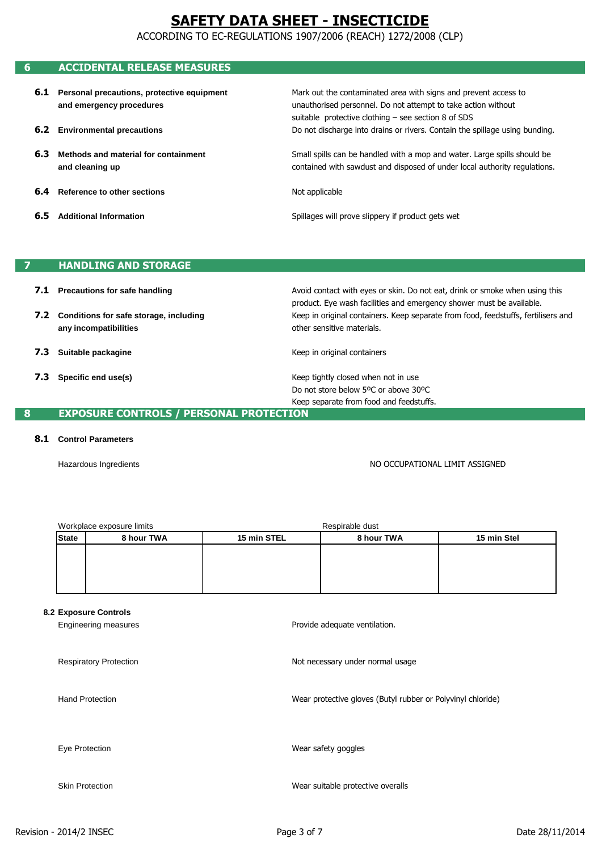ACCORDING TO EC-REGULATIONS 1907/2006 (REACH) 1272/2008 (CLP)

## **6 ACCIDENTAL RELEASE MEASURES**

| 6.1 | Personal precautions, protective equipment<br>and emergency procedures | Mark out the contaminated area with signs and prevent access to<br>unauthorised personnel. Do not attempt to take action without<br>suitable protective clothing $-$ see section 8 of SDS |
|-----|------------------------------------------------------------------------|-------------------------------------------------------------------------------------------------------------------------------------------------------------------------------------------|
|     | <b>6.2</b> Environmental precautions                                   | Do not discharge into drains or rivers. Contain the spillage using bunding.                                                                                                               |
| 6.3 | Methods and material for containment<br>and cleaning up                | Small spills can be handled with a mop and water. Large spills should be<br>contained with sawdust and disposed of under local authority regulations.                                     |
| 6.4 | Reference to other sections                                            | Not applicable                                                                                                                                                                            |
| 6.5 | <b>Additional Information</b>                                          | Spillages will prove slippery if product gets wet                                                                                                                                         |

### **7 HANDLING AND STORAGE**

- **7.1 Precautions for safe handling**
- **7.2 Conditions for safe storage, including any incompatibilities**
- **7.3 Suitable packagine**
- **7.3 Specific end use(s)**

other sensitive materials. Keep in original containers. Keep separate from food, feedstuffs, fertilisers and product. Eye wash facilities and emergency shower must be available. Avoid contact with eyes or skin. Do not eat, drink or smoke when using this

Keep in original containers

Keep tightly closed when not in use Keep separate from food and feedstuffs. Do not store below 5ºC or above 30ºC

## **8 EXPOSURE CONTROLS / PERSONAL PROTECTION**

#### **8.1 Control Parameters**

Hazardous Ingredients

NO OCCUPATIONAL LIMIT ASSIGNED

| Workplace exposure limits |            |             | Respirable dust |             |
|---------------------------|------------|-------------|-----------------|-------------|
| <b>State</b>              | 8 hour TWA | 15 min STEL | 8 hour TWA      | 15 min Stel |
|                           |            |             |                 |             |
|                           |            |             |                 |             |
|                           |            |             |                 |             |
|                           |            |             |                 |             |

#### **8.2 Exposure Controls**

Engineering measures Respiratory Protection Hand Protection Eye Protection Skin Protection Not necessary under normal usage Provide adequate ventilation. Wear suitable protective overalls Wear safety goggles Wear protective gloves (Butyl rubber or Polyvinyl chloride)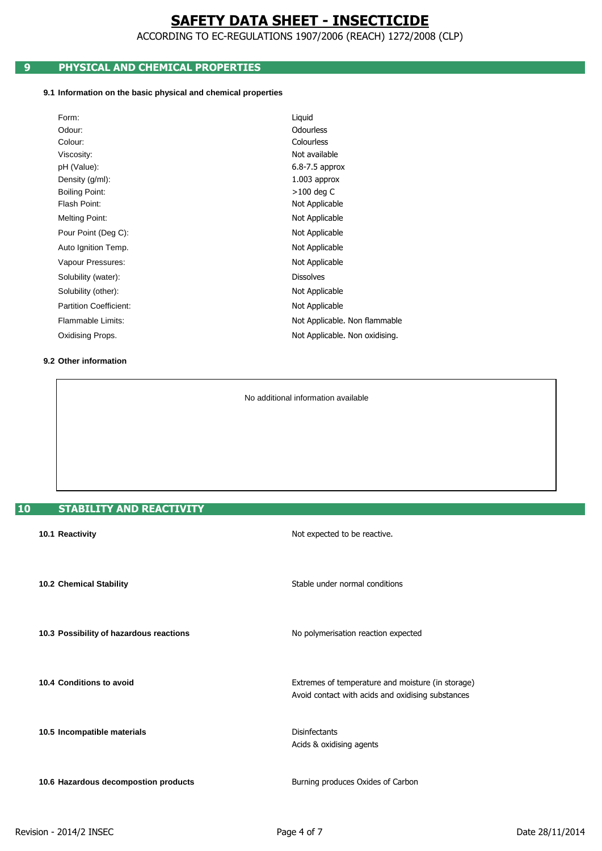ACCORDING TO EC-REGULATIONS 1907/2006 (REACH) 1272/2008 (CLP)

# **9 PHYSICAL AND CHEMICAL PROPERTIES**

### **9.1 Information on the basic physical and chemical properties**

| Form:                         | Liquid                         |
|-------------------------------|--------------------------------|
| Odour:                        | <b>Odourless</b>               |
| Colour:                       | Colourless                     |
| Viscosity:                    | Not available                  |
| pH (Value):                   | $6.8 - 7.5$ approx             |
| Density (g/ml):               | $1.003$ approx                 |
| <b>Boiling Point:</b>         | $>100$ deg C                   |
| Flash Point:                  | Not Applicable                 |
| Melting Point:                | Not Applicable                 |
| Pour Point (Deg C):           | Not Applicable                 |
| Auto Ignition Temp.           | Not Applicable                 |
| Vapour Pressures:             | Not Applicable                 |
| Solubility (water):           | <b>Dissolves</b>               |
| Solubility (other):           | Not Applicable                 |
| <b>Partition Coefficient:</b> | Not Applicable                 |
| Flammable Limits:             | Not Applicable. Non flammable  |
| Oxidising Props.              | Not Applicable. Non oxidising. |
|                               |                                |

### **9.2 Other information**

No additional information available

# **10 STABILITY AND REACTIVITY**

| 10.1 Reactivity                         | Not expected to be reactive.                                                                           |
|-----------------------------------------|--------------------------------------------------------------------------------------------------------|
| <b>10.2 Chemical Stability</b>          | Stable under normal conditions                                                                         |
| 10.3 Possibility of hazardous reactions | No polymerisation reaction expected                                                                    |
| 10.4 Conditions to avoid                | Extremes of temperature and moisture (in storage)<br>Avoid contact with acids and oxidising substances |
| 10.5 Incompatible materials             | <b>Disinfectants</b><br>Acids & oxidising agents                                                       |
| 10.6 Hazardous decompostion products    | Burning produces Oxides of Carbon                                                                      |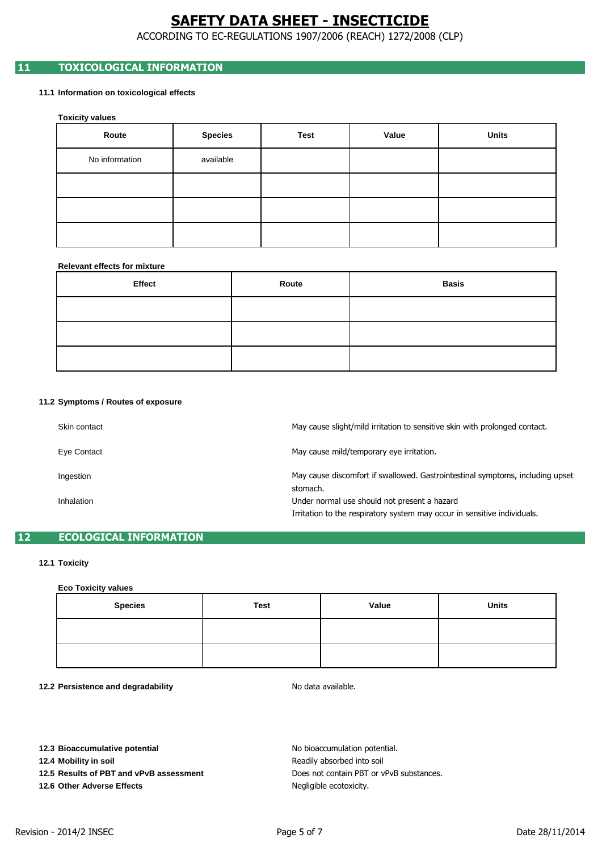ACCORDING TO EC-REGULATIONS 1907/2006 (REACH) 1272/2008 (CLP)

# **11 TOXICOLOGICAL INFORMATION**

### **11.1 Information on toxicological effects**

**Toxicity values**

| Route          | <b>Species</b> | <b>Test</b> | Value | <b>Units</b> |
|----------------|----------------|-------------|-------|--------------|
| No information | available      |             |       |              |
|                |                |             |       |              |
|                |                |             |       |              |
|                |                |             |       |              |

### **Relevant effects for mixture**

| Effect | Route | <b>Basis</b> |
|--------|-------|--------------|
|        |       |              |
|        |       |              |
|        |       |              |

#### **11.2 Symptoms / Routes of exposure**

| Skin contact | May cause slight/mild irritation to sensitive skin with prolonged contact.    |
|--------------|-------------------------------------------------------------------------------|
| Eye Contact  | May cause mild/temporary eye irritation.                                      |
| Ingestion    | May cause discomfort if swallowed. Gastrointestinal symptoms, including upset |
| Inhalation   | stomach.<br>Under normal use should not present a hazard                      |
|              | Irritation to the respiratory system may occur in sensitive individuals.      |

## **12 ECOLOGICAL INFORMATION**

### **12.1 Toxicity**

#### **Eco Toxicity values**

| <b>Species</b> | Test | Value | <b>Units</b> |
|----------------|------|-------|--------------|
|                |      |       |              |
|                |      |       |              |

**12.2 Persistence and degradability**

No data available.

**12.3 Bioaccumulative potential**

**12.4 Mobility in soil**

**12.5 Results of PBT and vPvB assessment**

**12.6 Other Adverse Effects**

Negligible ecotoxicity. No bioaccumulation potential. Readily absorbed into soil Does not contain PBT or vPvB substances.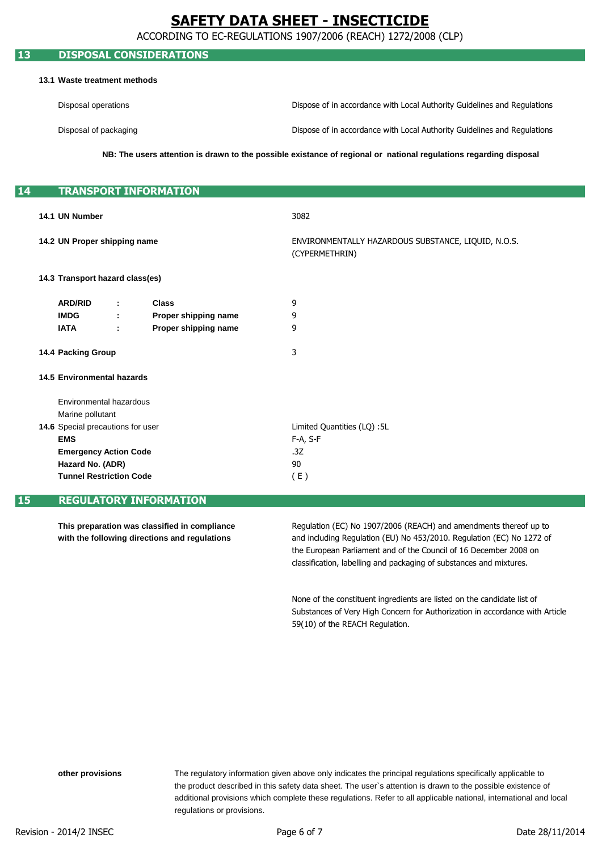ACCORDING TO EC-REGULATIONS 1907/2006 (REACH) 1272/2008 (CLP)

## **13 DISPOSAL CONSIDERATIONS**

#### **13.1 Waste treatment methods**

| Disposal operations   | Dispose of in accordance with Local Authority Guidelines and Regulations |
|-----------------------|--------------------------------------------------------------------------|
| Disposal of packaging | Dispose of in accordance with Local Authority Guidelines and Regulations |

**NB: The users attention is drawn to the possible existance of regional or national regulations regarding disposal**

| 14 |                                | <b>TRANSPORT INFORMATION</b>                                                                           |    |                      |                                                                       |
|----|--------------------------------|--------------------------------------------------------------------------------------------------------|----|----------------------|-----------------------------------------------------------------------|
|    |                                |                                                                                                        |    |                      |                                                                       |
|    |                                | 14.1 UN Number                                                                                         |    |                      | 3082                                                                  |
|    |                                | 14.2 UN Proper shipping name                                                                           |    |                      | ENVIRONMENTALLY HAZARDOUS SUBSTANCE, LIQUID, N.O.S.<br>(CYPERMETHRIN) |
|    |                                | 14.3 Transport hazard class(es)                                                                        |    |                      |                                                                       |
|    |                                | <b>ARD/RID</b>                                                                                         | ÷. | <b>Class</b>         | 9                                                                     |
|    |                                | <b>IMDG</b>                                                                                            | ÷. | Proper shipping name | 9                                                                     |
|    |                                | <b>IATA</b>                                                                                            | ÷  | Proper shipping name | 9                                                                     |
|    |                                | 14.4 Packing Group<br><b>14.5 Environmental hazards</b><br>Environmental hazardous<br>Marine pollutant |    |                      | 3                                                                     |
|    |                                |                                                                                                        |    |                      |                                                                       |
|    |                                |                                                                                                        |    |                      |                                                                       |
|    |                                |                                                                                                        |    |                      |                                                                       |
|    |                                | 14.6 Special precautions for user                                                                      |    |                      | Limited Quantities (LQ) :5L                                           |
|    |                                | <b>EMS</b><br><b>Emergency Action Code</b>                                                             |    |                      | F-A, S-F                                                              |
|    |                                |                                                                                                        |    |                      | .3Z                                                                   |
|    | Hazard No. (ADR)               |                                                                                                        |    |                      | 90                                                                    |
|    | <b>Tunnel Restriction Code</b> |                                                                                                        |    |                      | (E)                                                                   |
|    |                                |                                                                                                        |    |                      |                                                                       |

## **15 REGULATORY INFORMATION**

**This preparation was classified in compliance with the following directions and regulations**

the European Parliament and of the Council of 16 December 2008 on and including Regulation (EU) No 453/2010. Regulation (EC) No 1272 of classification, labelling and packaging of substances and mixtures. Regulation (EC) No 1907/2006 (REACH) and amendments thereof up to

Substances of Very High Concern for Authorization in accordance with Article None of the constituent ingredients are listed on the candidate list of 59(10) of the REACH Regulation.

regulations or provisions. The regulatory information given above only indicates the principal regulations specifically applicable to additional provisions which complete these regulations. Refer to all applicable national, international and local the product described in this safety data sheet. The user`s attention is drawn to the possible existence of